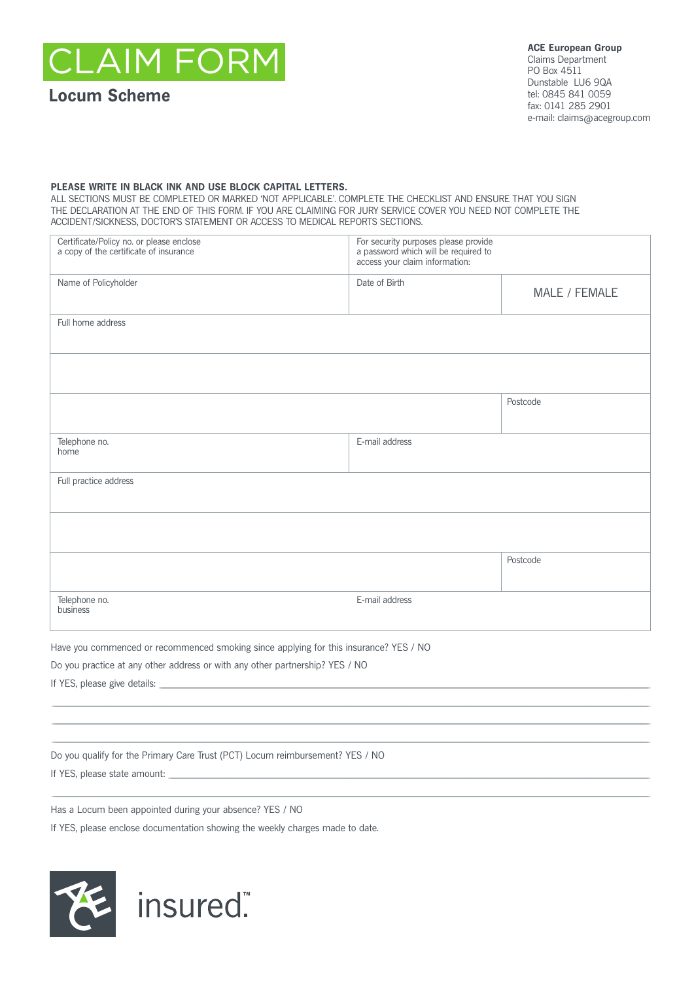**AIM FORI** 

# **Locum Scheme**

**ACE European Group** Claims Department PO Box 4511 Dunstable LU6 9QA tel: 0845 841 0059 fax: 0141 285 2901 e-mail: claims@acegroup.com

## PLEASE WRITE IN BLACK INK AND USE BLOCK CAPITAL LETTERS.

ALL SECTIONS MUST BE COMPLETED OR MARKED 'NOT APPLICABLE'. COMPLETE THE CHECKLIST AND ENSURE THAT YOU SIGN THE DECLARATION AT THE END OF THIS FORM. IF YOU ARE CLAIMING FOR JURY SERVICE COVER YOU NEED NOT COMPLETE THE ACCIDENT/SICKNESS, DOCTOR'S STATEMENT OR ACCESS TO MEDICAL REPORTS SECTIONS.

| Certificate/Policy no. or please enclose<br>a copy of the certificate of insurance    | For security purposes please provide<br>a password which will be required to<br>access your claim information: |               |
|---------------------------------------------------------------------------------------|----------------------------------------------------------------------------------------------------------------|---------------|
| Name of Policyholder                                                                  | Date of Birth                                                                                                  | MALE / FEMALE |
| Full home address                                                                     |                                                                                                                |               |
|                                                                                       |                                                                                                                |               |
|                                                                                       |                                                                                                                | Postcode      |
| Telephone no.<br>home                                                                 | E-mail address                                                                                                 |               |
| Full practice address                                                                 |                                                                                                                |               |
|                                                                                       |                                                                                                                |               |
|                                                                                       |                                                                                                                | Postcode      |
| Telephone no.<br>business                                                             | E-mail address                                                                                                 |               |
| Have you commenced or recommenced smoking since applying for this insurance? YES / NO |                                                                                                                |               |

Do you practice at any other address or with any other partnership? YES / NO

If YES, please give details:

Do you qualify for the Primary Care Trust (PCT) Locum reimbursement? YES / NO

If YES, please state amount:

Has a Locum been appointed during your absence? YES / NO

If YES, please enclose documentation showing the weekly charges made to date.

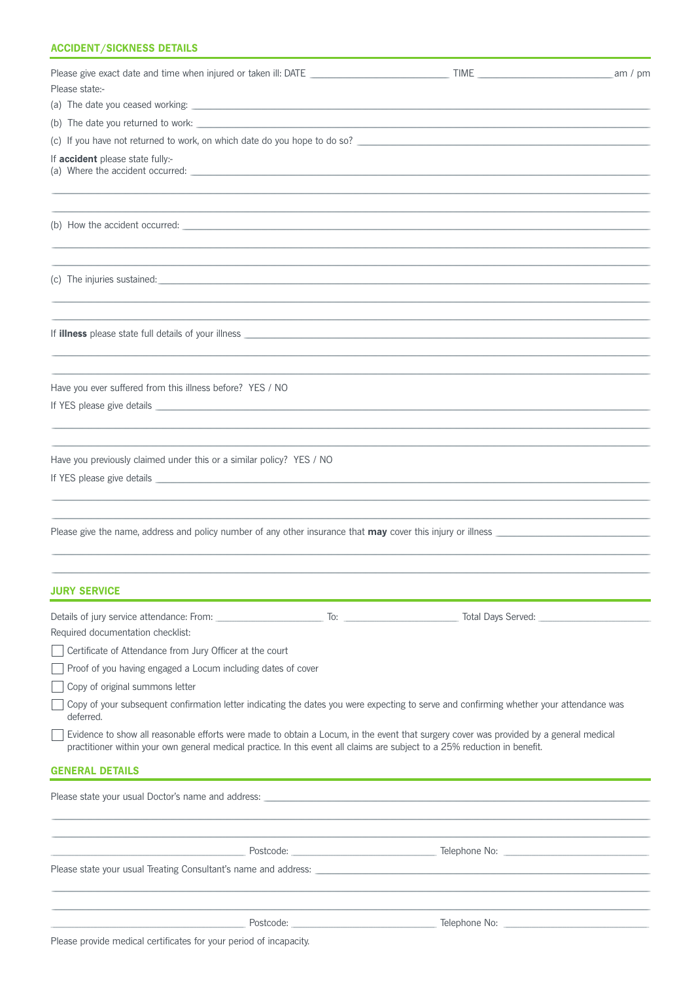# **ACCIDENT/SICKNESS DETAILS**

|                                                                                                                                                                                                                                                                      |                                   | am / $pm$ |
|----------------------------------------------------------------------------------------------------------------------------------------------------------------------------------------------------------------------------------------------------------------------|-----------------------------------|-----------|
| Please state:-                                                                                                                                                                                                                                                       |                                   |           |
|                                                                                                                                                                                                                                                                      |                                   |           |
|                                                                                                                                                                                                                                                                      |                                   |           |
|                                                                                                                                                                                                                                                                      |                                   |           |
| If accident please state fully:-                                                                                                                                                                                                                                     |                                   |           |
|                                                                                                                                                                                                                                                                      |                                   |           |
|                                                                                                                                                                                                                                                                      |                                   |           |
|                                                                                                                                                                                                                                                                      |                                   |           |
| Have you ever suffered from this illness before? YES / NO                                                                                                                                                                                                            |                                   |           |
| Have you previously claimed under this or a similar policy? YES / NO                                                                                                                                                                                                 |                                   |           |
|                                                                                                                                                                                                                                                                      |                                   |           |
| <b>JURY SERVICE</b>                                                                                                                                                                                                                                                  |                                   |           |
|                                                                                                                                                                                                                                                                      | Total Days Served: ______________ |           |
| Required documentation checklist:                                                                                                                                                                                                                                    |                                   |           |
| Certificate of Attendance from Jury Officer at the court                                                                                                                                                                                                             |                                   |           |
| Proof of you having engaged a Locum including dates of cover                                                                                                                                                                                                         |                                   |           |
| Copy of original summons letter                                                                                                                                                                                                                                      |                                   |           |
| Copy of your subsequent confirmation letter indicating the dates you were expecting to serve and confirming whether your attendance was<br>deferred.                                                                                                                 |                                   |           |
| Evidence to show all reasonable efforts were made to obtain a Locum, in the event that surgery cover was provided by a general medical<br>practitioner within your own general medical practice. In this event all claims are subject to a 25% reduction in benefit. |                                   |           |
| <b>GENERAL DETAILS</b>                                                                                                                                                                                                                                               |                                   |           |
| Please state your usual Doctor's name and address: example and according to the state of the state of the state of the state of the state of the state of the state of the state of the state of the state of the state of the                                       |                                   |           |
|                                                                                                                                                                                                                                                                      |                                   |           |
|                                                                                                                                                                                                                                                                      |                                   |           |
|                                                                                                                                                                                                                                                                      |                                   |           |
|                                                                                                                                                                                                                                                                      |                                   |           |

Please provide medical certificates for your period of incapacity.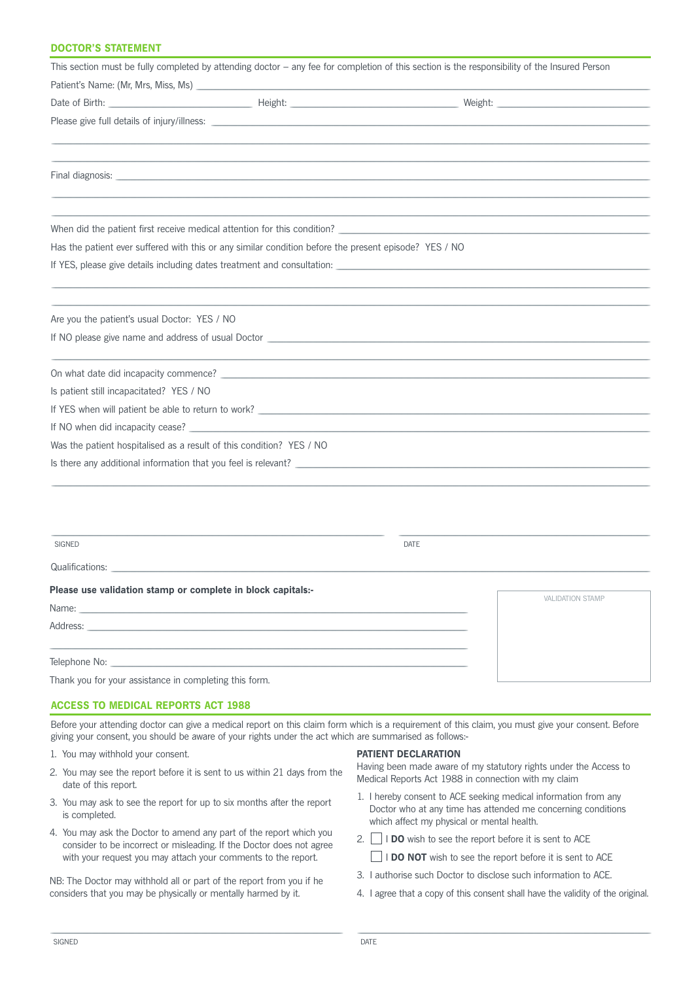# **DOCTOR'S STATEMENT**

| This section must be fully completed by attending doctor - any fee for completion of this section is the responsibility of the Insured Person                                                                                  |                         |
|--------------------------------------------------------------------------------------------------------------------------------------------------------------------------------------------------------------------------------|-------------------------|
|                                                                                                                                                                                                                                |                         |
|                                                                                                                                                                                                                                |                         |
|                                                                                                                                                                                                                                |                         |
|                                                                                                                                                                                                                                |                         |
| Final diagnosis: the contract of the contract of the contract of the contract of the contract of the contract of the contract of the contract of the contract of the contract of the contract of the contract of the contract  |                         |
|                                                                                                                                                                                                                                |                         |
| When did the patient first receive medical attention for this condition?                                                                                                                                                       |                         |
| Has the patient ever suffered with this or any similar condition before the present episode? YES / NO                                                                                                                          |                         |
|                                                                                                                                                                                                                                |                         |
|                                                                                                                                                                                                                                |                         |
| Are you the patient's usual Doctor: YES / NO                                                                                                                                                                                   |                         |
|                                                                                                                                                                                                                                |                         |
| On what date did incapacity commence?                                                                                                                                                                                          |                         |
| Is patient still incapacitated? YES / NO                                                                                                                                                                                       |                         |
|                                                                                                                                                                                                                                |                         |
|                                                                                                                                                                                                                                |                         |
| Was the patient hospitalised as a result of this condition? YES / NO                                                                                                                                                           |                         |
| Is there any additional information that you feel is relevant?                                                                                                                                                                 |                         |
|                                                                                                                                                                                                                                |                         |
|                                                                                                                                                                                                                                |                         |
| <b>SIGNED</b>                                                                                                                                                                                                                  | <b>DATE</b>             |
| Qualifications: Qualifications:                                                                                                                                                                                                |                         |
| Please use validation stamp or complete in block capitals:-                                                                                                                                                                    | <b>VALIDATION STAMP</b> |
| Name: when the contract of the contract of the contract of the contract of the contract of the contract of the contract of the contract of the contract of the contract of the contract of the contract of the contract of the |                         |
| Address:                                                                                                                                                                                                                       |                         |

Telephone No:

Thank you for your assistance in completing this form.

### **ACCESS TO MEDICAL REPORTS ACT 1988**

Before your attending doctor can give a medical report on this claim form which is a requirement of this claim, you must give your consent. Before giving your consent, you should be aware of your rights under the act which are summarised as follows:-

- 1. You may withhold your consent.
- 2. You may see the report before it is sent to us within 21 days from the date of this report.
- 3. You may ask to see the report for up to six months after the report is completed.
- 4. You may ask the Doctor to amend any part of the report which you consider to be incorrect or misleading. If the Doctor does not agree with your request you may attach your comments to the report.

NB: The Doctor may withhold all or part of the report from you if he considers that you may be physically or mentally harmed by it.

#### **PATIENT DECLARATION**

Having been made aware of my statutory rights under the Access to Medical Reports Act 1988 in connection with my claim

- 1. I hereby consent to ACE seeking medical information from any Doctor who at any time has attended me concerning conditions which affect my physical or mental health.
- 2.  $\Box$  I DO wish to see the report before it is sent to ACE **IDO NOT** wish to see the report before it is sent to ACE
- 3. I authorise such Doctor to disclose such information to ACE.
- 4. I agree that a copy of this consent shall have the validity of the original.